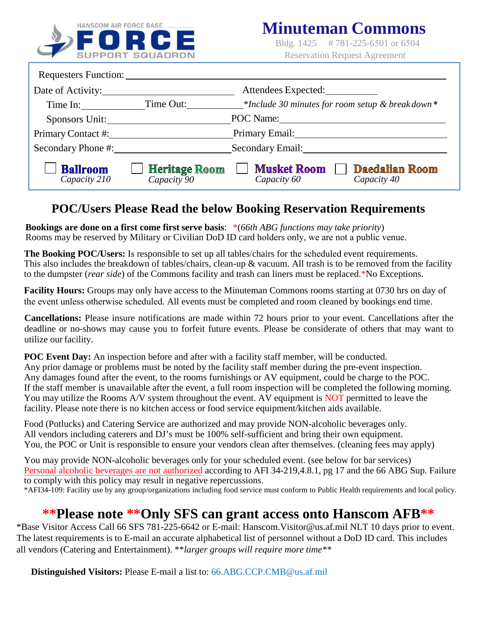

### **Mi nuteman Commons**

Bldg. 1425 # 781-225-6501 or 6504 Reservation Request Agreement

| Requesters Function: ________   |                                                               |                                                                           |  |  |  |
|---------------------------------|---------------------------------------------------------------|---------------------------------------------------------------------------|--|--|--|
| Date of Activity:               |                                                               | Attendees Expected:                                                       |  |  |  |
| Time In:                        | Time Out:<br>*Include 30 minutes for room setup & break down* |                                                                           |  |  |  |
| Sponsors Unit:                  | POC Name:                                                     |                                                                           |  |  |  |
| Primary Contact #:              | Primary Email:                                                |                                                                           |  |  |  |
| Secondary Phone #:              | Secondary Email:                                              |                                                                           |  |  |  |
| <b>Ballroom</b><br>Capacity 210 | <b>Heritage Room</b><br>$Capacity$ <sup>90</sup>              | <b>Musket Room</b><br><b>Daedalian Room</b><br>Capacity 60<br>Capacity 40 |  |  |  |

#### **POC/Users Please Read the below Booking Reservation Requirements**

**Bookings are done on a first come first serve basis**: \*(*Military functions may take priority*) Rooms may be reserved by Military or Civilian DoD ID card holders only, we are not a public venue.

**The Booking POC/User:** Is responsible to set up all tables/chairs for the scheduled event requirements. This also includes the breakdown of tables/chairs, clean-up & vacuum. All trash is to be removed from the facility to the dumpster of the Commons facility and trash can liners must be replaced. Cleaning products provided.

**Facility Hours:** Groups may only have access to the Minuteman Commons rooms starting at 08000 hrs on day of the event unless otherwise scheduled. All events must be completed and room cleaned by bookings end time.

**Cancellation:** Please insure notifications is made within 72 hours prior to your event when possible. Cancellations after the deadline or no-shows may cause you to forfeit future events. Please be considerate of others that may want to utilize our facility.

**POC Event Day:** An inspection before and after with a facility staff member, will be conducted. Any prior damage or problems must be noted by the facility staff member during the pre-event inspection. Any damages found after the event, to the rooms furnishings or AV equipment, could be charge to the POC. If the staff member is unavailable after the event, a full room inspection will be completed the following morning. AV equipment is NOT permitted to leave the facility.

**Personal Events:** Weddings, private parties, retirements etc... using a catering service will be charged \$200. Please note there is limited kitchen access and no food service equipment/kitchen aids available. Caterers and DJ's/ entertainment must be 100% self-sufficient and bring their own equipment. You, the POC or Unit is responsible to ensure your vendors cleans after themselves. You will be responsible to provide them base access if required.

You may provide NON-alcoholic beverages only for your scheduled event. (see below for bar services) Personal alcoholic beverages are not authorized according to AFI 34-219,4.8.1, pg 17 and the 66 ABG Sup. Failure to comply with this policy may result in negative repercussions.

\*AFI34-109: Facility use by any group/organizations including food service must conform to Public Health requirements and local policy.

#### **\*\*Please note \*\*Only SFS can grant access onto Hanscom AFB\*\***

\*Base Visitor Access Call 66 SFS 781-225-6642 or E-mail[: Hanscom.Visitor@us.af.mil](mailto:Hanscom.Visitor@us.af.mil) NLT 10 days prior to event. The latest requirements is to E-mail an accurate alphabetical list of personnel without a DoD ID card. This includes all vendors (Catering and Entertainment). \*\**larger groups will require more time\*\**

**Distinguished Visitors:** Please E-mail a list to: 6[6.ABG.CCP.CMB@us.af.mil](mailto:66.ABG.CCP.CMB@us.af.mil)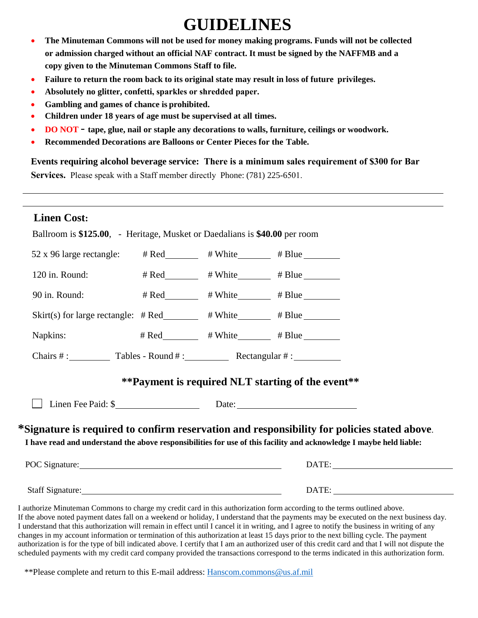# **GUIDELINES**

- **The Minuteman Commons will not be used for money making programs. Funds will not be collected or admission charged without an official NAF contract. It must be signed by the NAFFMB and a copy given to the Minuteman Commons Staff to file.**
- **Failure to return the room back to its original state may result in loss of future privileges.**
- Absolutely no glitter, confetti, sparkles or shredded paper et .
- **Gambling and games of chance is prohibited.**
- Children under 18 years of age must be supervised at all times. 7 K HUUXHQ QLLVQ JQ RD O C
- **DO NOT** tape, glue, nail or staple any decorations to walls, furniture, ceilings or woodwork.
- **Recommended Decorations are Balloons or Center Pieces for the Table.**

**Events requiring alcohol beverage service: There is a minim[um sales requirement](mailto:tina.carter.5@us.af.mil) of \$300 for Bar Services an a \$0 ratuit**. Please speak with a Staff member directly Phone: (781) 225-6501.

#### **Linen Cost:**

| Ballroom is \$140.00, - Heritage, Musket or Daedalians is \$50.00 per rm.                                    |                                                 |                                                                                                                                                                                                                                                                     |
|--------------------------------------------------------------------------------------------------------------|-------------------------------------------------|---------------------------------------------------------------------------------------------------------------------------------------------------------------------------------------------------------------------------------------------------------------------|
| 52 x 96 large rectangle: # Red ______ # White _____ # Blue ______                                            |                                                 |                                                                                                                                                                                                                                                                     |
| 120 in. Round:                                                                                               | # Red_________ # White________ # Blue _______   |                                                                                                                                                                                                                                                                     |
| 90 in. Round:                                                                                                | # Red_________ # White________ # Blue _______   |                                                                                                                                                                                                                                                                     |
| Skirt(s) for large rectangle: $\# \text{Red}$ $\qquad \qquad \# \text{White}$ $\qquad \qquad \# \text{Blue}$ |                                                 |                                                                                                                                                                                                                                                                     |
| Napkins:                                                                                                     | # Red__________ # White_________ # Blue________ |                                                                                                                                                                                                                                                                     |
| Chairs $\#$ : Tables - Round $\#$ : Rectangular $\#$ :                                                       |                                                 |                                                                                                                                                                                                                                                                     |
|                                                                                                              |                                                 | **Payment is required NLT start time of the event**                                                                                                                                                                                                                 |
| Linen Fee Paid: \$                                                                                           |                                                 |                                                                                                                                                                                                                                                                     |
|                                                                                                              |                                                 | *Signature is required to confirm reservation and responsibility for policies stated above.<br>I have read and understand the above responsibilities for use of this facility and acknowledge I maybe held liable:                                                  |
|                                                                                                              |                                                 |                                                                                                                                                                                                                                                                     |
| Staff Signature:                                                                                             |                                                 | DATE:                                                                                                                                                                                                                                                               |
|                                                                                                              |                                                 | I authorize Minuteman Commons to charge my credit card in this authorization form according to the terms outlined above.<br>If the above noted payment dates fall on a weekend or holiday, I understand that the payments may be executed on the next business day. |

I understand that this authorization will remain in effect until I cancel it in writing, and I agree to notify the business in writing of any changes in my account information or termination of this authorization at least 15 days prior to the next billing cycle. The payment authorization is for the type of bill indicated above. I certify that I am an authorized user of this credit card and that I will not dispute the scheduled payments with my credit card company provided the transactions correspond to the terms indicated in this authorization form.

\*\*Please complete and return to this E-mail address: [Hanscom.commons@us.af.mil](mailto:Hanscom.commons@us.af.mil)